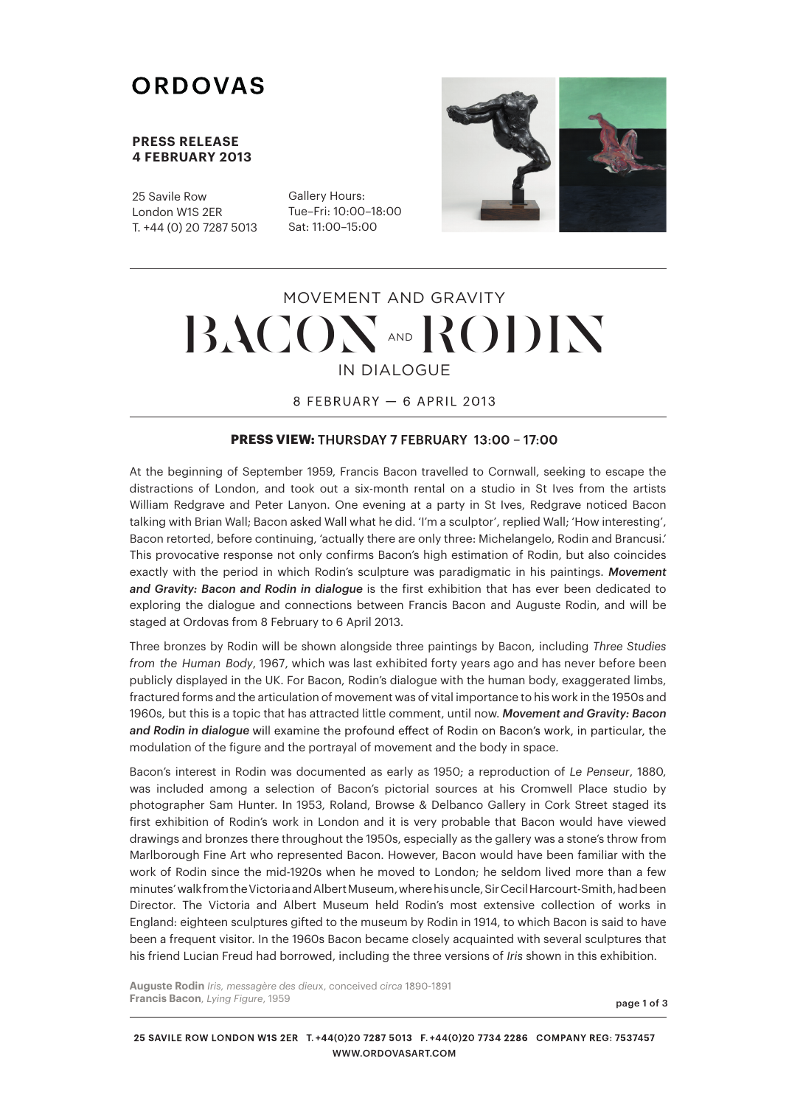# ORDOVAS

#### **PRESS RELEASE 4 FEBRUARY 2013**

25 Savile Row London W1S 2ER T. +44 (0) 20 7287 5013

Gallery Hours: Tue–Fri: 10:00–18:00 Sat: 11:00–15:00



# IN DIALOGUE MOVEMENT AND GRAVITY  $BACON$  and  $RODN$

8 FEBRUARY - 6 APRIL 2013

### **PRESS VIEW:**

At the beginning of September 1959, Francis Bacon travelled to Cornwall, seeking to escape the distractions of London, and took out a six-month rental on a studio in St Ives from the artists William Redgrave and Peter Lanyon. One evening at a party in St Ives, Redgrave noticed Bacon talking with Brian Wall; Bacon asked Wall what he did. 'I'm a sculptor', replied Wall; 'How interesting', Bacon retorted, before continuing, 'actually there are only three: Michelangelo, Rodin and Brancusi.' This provocative response not only confirms Bacon's high estimation of Rodin, but also coincides exactly with the period in which Rodin's sculpture was paradigmatic in his paintings. *Movement and Gravity: Bacon and Rodin in dialogue* is the first exhibition that has ever been dedicated to exploring the dialogue and connections between Francis Bacon and Auguste Rodin, and will be staged at Ordovas from 8 February to 6 April 2013.

Three bronzes by Rodin will be shown alongside three paintings by Bacon, including *Three Studies from the Human Body*, 1967, which was last exhibited forty years ago and has never before been publicly displayed in the UK. For Bacon, Rodin's dialogue with the human body, exaggerated limbs, fractured forms and the articulation of movement was of vital importance to his work in the 1950s and 1960s, but this is a topic that has attracted little comment, until now. *Movement and Gravity: Bacon*  and Rodin in dialogue will examine the profound effect of Rodin on Bacon's work, in particular, the modulation of the figure and the portrayal of movement and the body in space.

Bacon's interest in Rodin was documented as early as 1950; a reproduction of *Le Penseur*, 1880, was included among a selection of Bacon's pictorial sources at his Cromwell Place studio by photographer Sam Hunter. In 1953, Roland, Browse & Delbanco Gallery in Cork Street staged its first exhibition of Rodin's work in London and it is very probable that Bacon would have viewed drawings and bronzes there throughout the 1950s, especially as the gallery was a stone's throw from Marlborough Fine Art who represented Bacon. However, Bacon would have been familiar with the work of Rodin since the mid-1920s when he moved to London; he seldom lived more than a few minutes'walkfromtheVictoriaandAlbertMuseum,wherehisuncle,SirCecilHarcourt-Smith,hadbeen Director. The Victoria and Albert Museum held Rodin's most extensive collection of works in England: eighteen sculptures gifted to the museum by Rodin in 1914, to which Bacon is said to have been a frequent visitor. In the 1960s Bacon became closely acquainted with several sculptures that his friend Lucian Freud had borrowed, including the three versions of *Iris* shown in this exhibition.

**Auguste Rodin** *Iris, messagère des dieu*x, conceived *circa* **Francis Bacon**, *Lying Figure*, 1959

page 1 of 3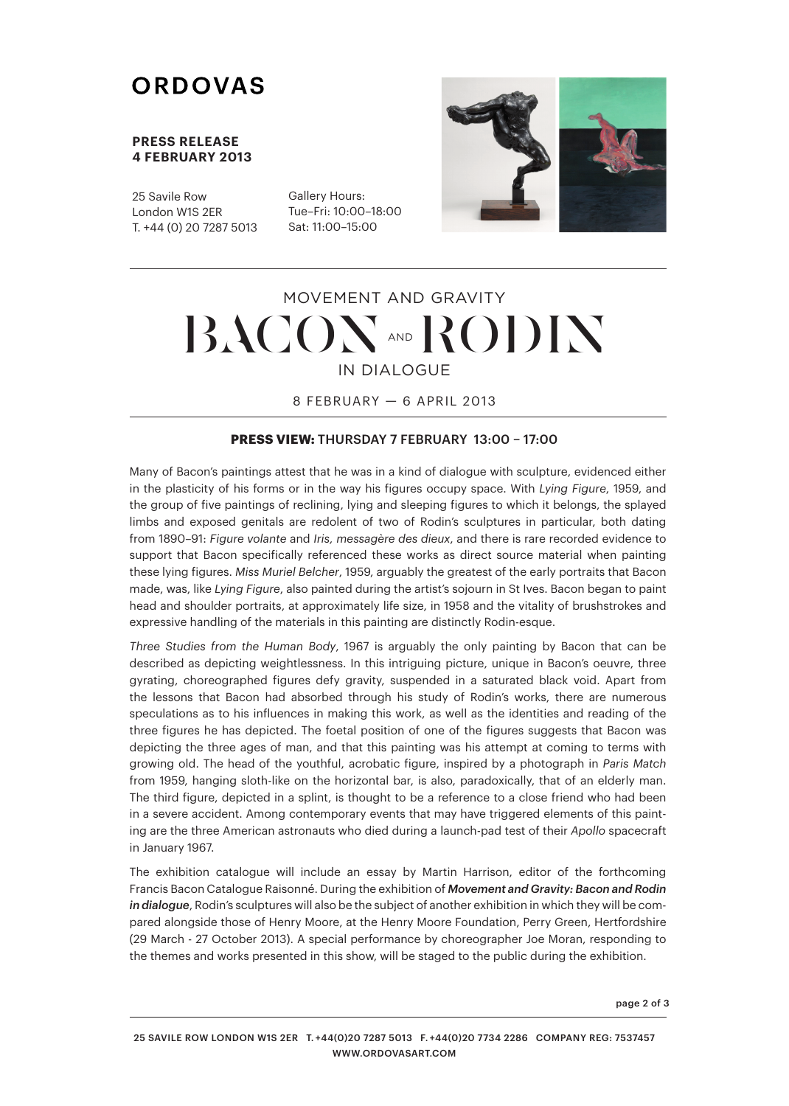# ORDOVAS

### **PRESS RELEASE 4 FEBRUARY 2013**

25 Savile Row London W1S 2ER T. +44 (0) 20 7287 5013

Gallery Hours: Tue–Fri: 10:00–18:00 Sat: 11:00–15:00



# IN DIALOGUE MOVEMENT AND GRAVITY  $BACON$  and  $RODN$

8 FEBRUARY — 6 APRIL 2013

## **PRESS VIEW:** THURSDAY 7 FEBRUARY 13:00 – 17:00

Many of Bacon's paintings attest that he was in a kind of dialogue with sculpture, evidenced either in the plasticity of his forms or in the way his figures occupy space. With *Lying Figure*, 1959, and the group of five paintings of reclining, lying and sleeping figures to which it belongs, the splayed limbs and exposed genitals are redolent of two of Rodin's sculptures in particular, both dating from 1890–91: *Figure volante* and *Iris, messagère des dieux*, and there is rare recorded evidence to support that Bacon specifically referenced these works as direct source material when painting these lying figures. *Miss Muriel Belcher*, 1959, arguably the greatest of the early portraits that Bacon made, was, like *Lying Figure*, also painted during the artist's sojourn in St Ives. Bacon began to paint head and shoulder portraits, at approximately life size, in 1958 and the vitality of brushstrokes and expressive handling of the materials in this painting are distinctly Rodin-esque.

*Three Studies from the Human Body*, 1967 is arguably the only painting by Bacon that can be described as depicting weightlessness. In this intriguing picture, unique in Bacon's oeuvre, three gyrating, choreographed figures defy gravity, suspended in a saturated black void. Apart from the lessons that Bacon had absorbed through his study of Rodin's works, there are numerous speculations as to his influences in making this work, as well as the identities and reading of the three figures he has depicted. The foetal position of one of the figures suggests that Bacon was depicting the three ages of man, and that this painting was his attempt at coming to terms with growing old. The head of the youthful, acrobatic figure, inspired by a photograph in *Paris Match* from 1959, hanging sloth-like on the horizontal bar, is also, paradoxically, that of an elderly man. The third figure, depicted in a splint, is thought to be a reference to a close friend who had been in a severe accident. Among contemporary events that may have triggered elements of this painting are the three American astronauts who died during a launch-pad test of their *Apollo* spacecraft in January 1967.

The exhibition catalogue will include an essay by Martin Harrison, editor of the forthcoming Francis Bacon Catalogue Raisonné. During the exhibition of *Movement and Gravity: Bacon and Rodin in dialogue*, Rodin's sculptures will also be the subject of another exhibition in which they will be compared alongside those of Henry Moore, at the Henry Moore Foundation, Perry Green, Hertfordshire (29 March - 27 October 2013). A special performance by choreographer Joe Moran, responding to the themes and works presented in this show, will be staged to the public during the exhibition.